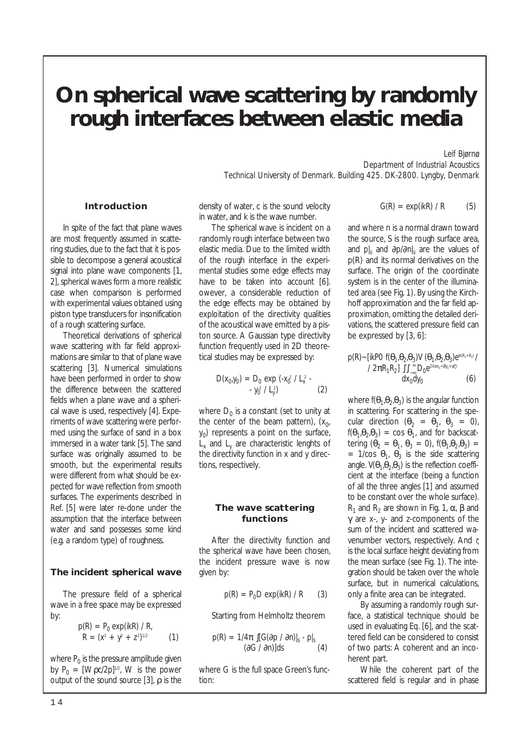# **On spherical wave scattering by randomly rough interfaces between elastic media**

*Leif Bjørnø Department of Industrial Acoustics Technical University of Denmark. Building 425. DK-2800. Lyngby, Denmark*

#### **Introduction**

In spite of the fact that plane waves are most frequently assumed in scattering studies, due to the fact that it is possible to decompose a general acoustical signal into plane wave components [1, 2], spherical waves form a more realistic case when comparison is performed with experimental values obtained using piston type transducers for insonification of a rough scattering surface.

Theoretical derivations of spherical wave scattering with far field approximations are similar to that of plane wave scattering [3]. Numerical simulations have been performed in order to show the difference between the scattered fields when a plane wave and a spherical wave is used, respectively [4]. Experiments of wave scattering were performed using the surface of sand in a box immersed in a water tank [5]. The sand surface was originally assumed to be smooth, but the experimental results were different from what should be expected for wave reflection from smooth surfaces. The experiments described in Ref. [5] were later re-done under the assumption that the interface between water and sand possesses some kind (e.g. a random type) of roughness.

#### **The incident spherical wave**

The pressure field of a spherical wave in a free space may be expressed by:

$$
p(R) = P_0 \exp(ikR) / R,
$$
  
 
$$
R = (x^2 + y^2 + z^2)^{1/2}
$$
 (1)

where  $P_0$  is the pressure amplitude given by  $P_0 = [Wpc/2p]^{1/2}$ , W is the power output of the sound source [3],  $\rho$  is the

density of water, c is the sound velocity in water, and k is the wave number.

The spherical wave is incident on a randomly rough interface between two elastic media. Due to the limited width of the rough interface in the experimental studies some edge effects may have to be taken into account [6]. owever, a considerable reduction of the edge effects may be obtained by exploitation of the directivity qualities of the acoustical wave emitted by a piston source. A Gaussian type directivity function frequently used in 2D theoretical studies may be expressed by:

$$
D(x_0, y_0) = D_0 \exp(-x_0^2 / L_x^2 - y_0^2 / L_y^2)
$$
 (2)

where  $D_0$  is a constant (set to unity at the center of the beam pattern),  $(x_0, y_0)$  $y_0$ ) represents a point on the surface,  $L<sub>y</sub>$  and  $L<sub>y</sub>$  are characteristic lenghts of the directivity function in x and y directions, respectively.

#### **The wave scattering functions**

After the directivity function and the spherical wave have been chosen, the incident pressure wave is now given by:

$$
p(R) = P_0 D \exp(ikR) / R \qquad (3)
$$

Starting from Helmholtz theorem

$$
p(R) = \frac{1}{4\pi} \int [G(\partial p / \partial n)]_s \cdot p|_s
$$
  
( $\partial G / \partial n$ )]ds (4)

where G is the full space Green's function:

$$
G(R) = exp(ikR) / R \qquad (5)
$$

and where n is a normal drawn toward the source, S is the rough surface area, and *p|s* and ∂p/∂n|s are the values of p(R) and its normal derivatives on the surface. The origin of the coordinate system is in the center of the illuminated area (see Fig. 1). By using the Kirchhoff approximation and the far field approximation, omitting the detailed derivations, the scattered pressure field can be expressed by [3, 6]:

$$
p(R) \sim [ikP0 f(\mathbf{\Theta}_1, \mathbf{\Theta}_2, \mathbf{\Theta}_3)V(\mathbf{\Theta}_1, \mathbf{\Theta}_2, \mathbf{\Theta}_3)e^{ik(R_1 + R_2)}/2\pi R_1 R_2] \iint_{-\infty}^{\infty} D_0 e^{2i(\alpha x_0 + \beta y_0 + \gamma \zeta)}
$$
(6)

where  $f(\theta_1, \theta_2, \theta_3)$  is the angular function in scattering. For scattering in the specular direction  $(\theta_2 = \theta_1, \theta_3 = 0)$ ,  $f(\theta_1, \theta_2, \theta_3) = \cos \theta_1$ , and for backscattering  $(\vec{\theta}_2 = \theta_1, \theta_3 = 0)$ ,  $f(\theta_1, \theta_2, \theta_3) =$ =  $1/cos \theta_1$ ,  $\theta_3$  is the side scattering angle.  $V(\theta_1, \theta_2, \theta_3)$  is the reflection coefficient at the interface (being a function of all the three angles [1] and assumed to be constant over the whole surface). R<sub>1</sub> and R<sub>2</sub> are shown in Fig. 1,  $\alpha$ ,  $\beta$  and γ are x-, y- and z-components of the sum of the incident and scattered wavenumber vectors, respectively. And <sup>ζ</sup> is the local surface height deviating from the mean surface (see Fig. 1). The integration should be taken over the whole surface, but in numerical calculations, only a finite area can be integrated.

By assuming a randomly rough surface, a statistical technique should be used in evaluating Eq. [6], and the scattered field can be considered to consist of two parts: A coherent and an incoherent part.

While the coherent part of the scattered field is regular and in phase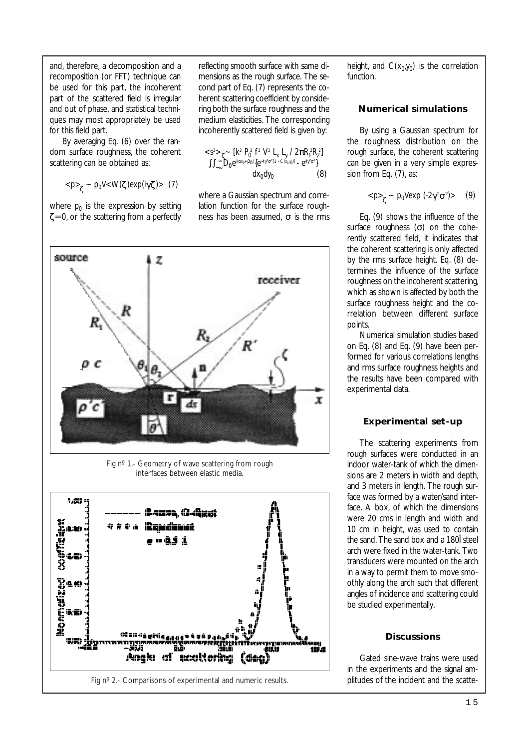and, therefore, a decomposition and a recomposition (or FFT) technique can be used for this part, the incoherent part of the scattered field is irregular and out of phase, and statistical techniques may most appropriately be used for this field part.

By averaging Eq. (6) over the random surface roughness, the coherent scattering can be obtained as:

$$
_g - p_0 V < W(\zeta) exp(i\gamma \zeta) > (7)
$$

where  $p_0$  is the expression by setting  $\zeta = 0$ , or the scattering from a perfectly

reflecting smooth surface with same dimensions as the rough surface. The second part of Eq. (7) represents the coherent scattering coefficient by considering both the surface roughness and the medium elasticities. The corresponding incoherently scattered field is given by:

$$
\begin{aligned}\n&\leq s^2 > \zeta > \left[ k^2 \ P_0^2 \ f^2 \ V^2 \ L_x \ L_y \ / 2 \pi R_1^2 R_2^2 \right] \\
&\int \int_{-\infty}^{\infty} D_0 e^{i(\alpha x_0 + \beta y_0)} \{e^{-4r^2 \sigma^2 [1 - C(x_0, y_0)]} - e^{4r^2 \sigma^2} \} \\
&\quad \text{d}x_0 \text{d}y_0\n\end{aligned}
$$

where a Gaussian spectrum and correlation function for the surface roughness has been assumed,  $\sigma$  is the rms



Fig nº 1.- Geometry of wave scattering from rough interfaces between elastic media.



height, and  $C(x_0,y_0)$  is the correlation function.

### **Numerical simulations**

By using a Gaussian spectrum for the roughness distribution on the rough surface, the coherent scattering can be given in a very simple expression from Eq. (7), as:

$$
_{\zeta} \sim p_0 V exp(-2\gamma^2 \sigma^2) > (9)
$$

Eq. (9) shows the influence of the surface roughness  $(\sigma)$  on the coherently scattered field, it indicates that the coherent scattering is only affected by the rms surface height. Eq. (8) determines the influence of the surface roughness on the incoherent scattering, which as shown is affected by both the surface roughness height and the correlation between different surface points.

Numerical simulation studies based on Eq. (8) and Eq. (9) have been performed for various correlations lengths and rms surface roughness heights and the results have been compared with experimental data.

# **Experimental set-up**

The scattering experiments from rough surfaces were conducted in an indoor water-tank of which the dimensions are 2 meters in width and depth, and 3 meters in length. The rough surface was formed by a water/sand interface. A box, of which the dimensions were 20 cms in length and width and 10 cm in height, was used to contain the sand. The sand box and a 180Ï steel arch were fixed in the water-tank. Two transducers were mounted on the arch in a way to permit them to move smoothly along the arch such that different angles of incidence and scattering could be studied experimentally.

# **Discussions**

Gated sine-wave trains were used in the experiments and the signal amplitudes of the incident and the scatte-